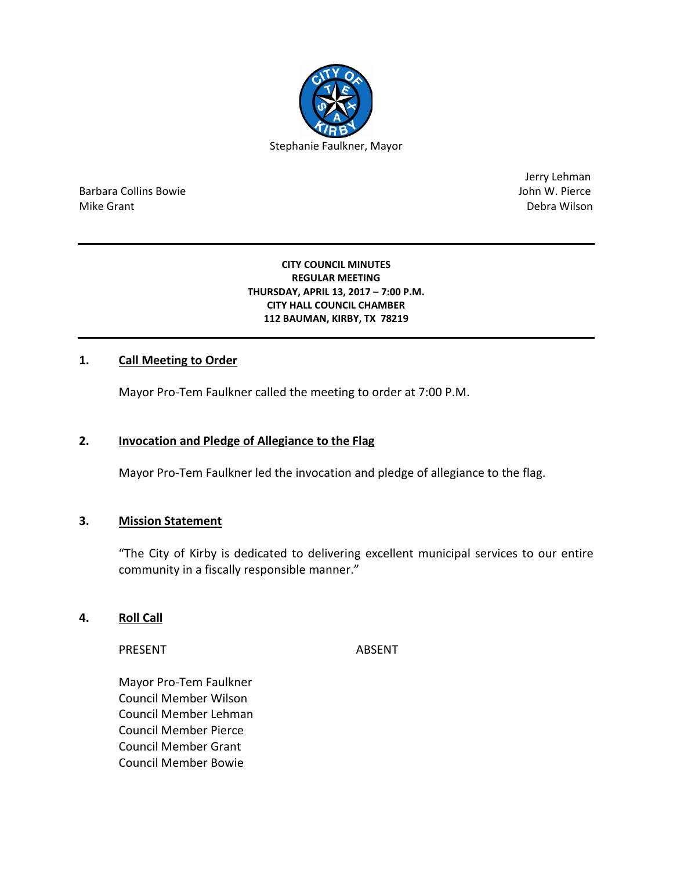

Barbara Collins Bowie John W. Pierce Mike Grant National Accounts of the United States of the United States of the United States of the Debra Wilson

Jerry Lehman

#### **CITY COUNCIL MINUTES REGULAR MEETING THURSDAY, APRIL 13, 2017 – 7:00 P.M. CITY HALL COUNCIL CHAMBER 112 BAUMAN, KIRBY, TX 78219**

## **1. Call Meeting to Order**

Mayor Pro-Tem Faulkner called the meeting to order at 7:00 P.M.

## **2. Invocation and Pledge of Allegiance to the Flag**

Mayor Pro-Tem Faulkner led the invocation and pledge of allegiance to the flag.

#### **3. Mission Statement**

"The City of Kirby is dedicated to delivering excellent municipal services to our entire community in a fiscally responsible manner."

#### **4. Roll Call**

PRESENT ABSENT

Mayor Pro-Tem Faulkner Council Member Wilson Council Member Lehman Council Member Pierce Council Member Grant Council Member Bowie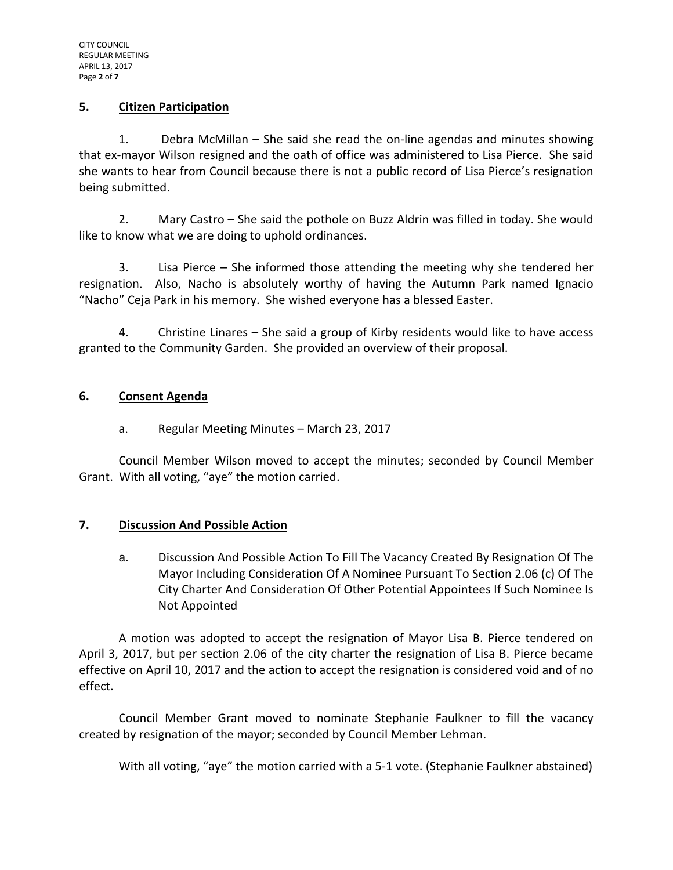### **5. Citizen Participation**

1. Debra McMillan – She said she read the on-line agendas and minutes showing that ex-mayor Wilson resigned and the oath of office was administered to Lisa Pierce. She said she wants to hear from Council because there is not a public record of Lisa Pierce's resignation being submitted.

2. Mary Castro – She said the pothole on Buzz Aldrin was filled in today. She would like to know what we are doing to uphold ordinances.

3. Lisa Pierce – She informed those attending the meeting why she tendered her resignation. Also, Nacho is absolutely worthy of having the Autumn Park named Ignacio "Nacho" Ceja Park in his memory. She wished everyone has a blessed Easter.

4. Christine Linares – She said a group of Kirby residents would like to have access granted to the Community Garden. She provided an overview of their proposal.

## **6. Consent Agenda**

# a. Regular Meeting Minutes – March 23, 2017

Council Member Wilson moved to accept the minutes; seconded by Council Member Grant. With all voting, "aye" the motion carried.

#### **7. Discussion And Possible Action**

a. Discussion And Possible Action To Fill The Vacancy Created By Resignation Of The Mayor Including Consideration Of A Nominee Pursuant To Section 2.06 (c) Of The City Charter And Consideration Of Other Potential Appointees If Such Nominee Is Not Appointed

A motion was adopted to accept the resignation of Mayor Lisa B. Pierce tendered on April 3, 2017, but per section 2.06 of the city charter the resignation of Lisa B. Pierce became effective on April 10, 2017 and the action to accept the resignation is considered void and of no effect.

Council Member Grant moved to nominate Stephanie Faulkner to fill the vacancy created by resignation of the mayor; seconded by Council Member Lehman.

With all voting, "aye" the motion carried with a 5-1 vote. (Stephanie Faulkner abstained)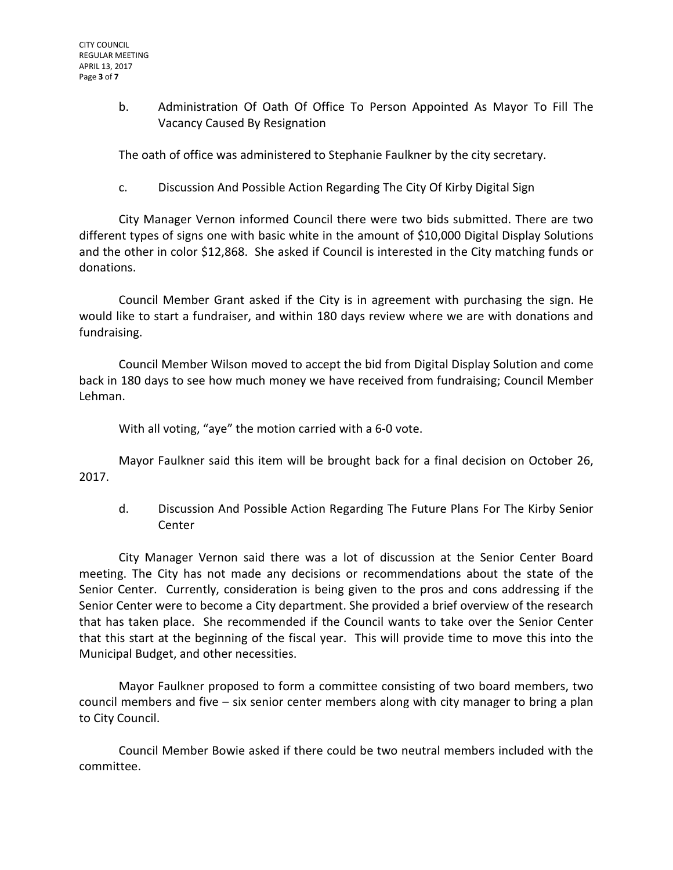b. Administration Of Oath Of Office To Person Appointed As Mayor To Fill The Vacancy Caused By Resignation

The oath of office was administered to Stephanie Faulkner by the city secretary.

c. Discussion And Possible Action Regarding The City Of Kirby Digital Sign

City Manager Vernon informed Council there were two bids submitted. There are two different types of signs one with basic white in the amount of \$10,000 Digital Display Solutions and the other in color \$12,868. She asked if Council is interested in the City matching funds or donations.

Council Member Grant asked if the City is in agreement with purchasing the sign. He would like to start a fundraiser, and within 180 days review where we are with donations and fundraising.

Council Member Wilson moved to accept the bid from Digital Display Solution and come back in 180 days to see how much money we have received from fundraising; Council Member Lehman.

With all voting, "aye" the motion carried with a 6-0 vote.

Mayor Faulkner said this item will be brought back for a final decision on October 26, 2017.

d. Discussion And Possible Action Regarding The Future Plans For The Kirby Senior Center

City Manager Vernon said there was a lot of discussion at the Senior Center Board meeting. The City has not made any decisions or recommendations about the state of the Senior Center. Currently, consideration is being given to the pros and cons addressing if the Senior Center were to become a City department. She provided a brief overview of the research that has taken place. She recommended if the Council wants to take over the Senior Center that this start at the beginning of the fiscal year. This will provide time to move this into the Municipal Budget, and other necessities.

Mayor Faulkner proposed to form a committee consisting of two board members, two council members and five – six senior center members along with city manager to bring a plan to City Council.

Council Member Bowie asked if there could be two neutral members included with the committee.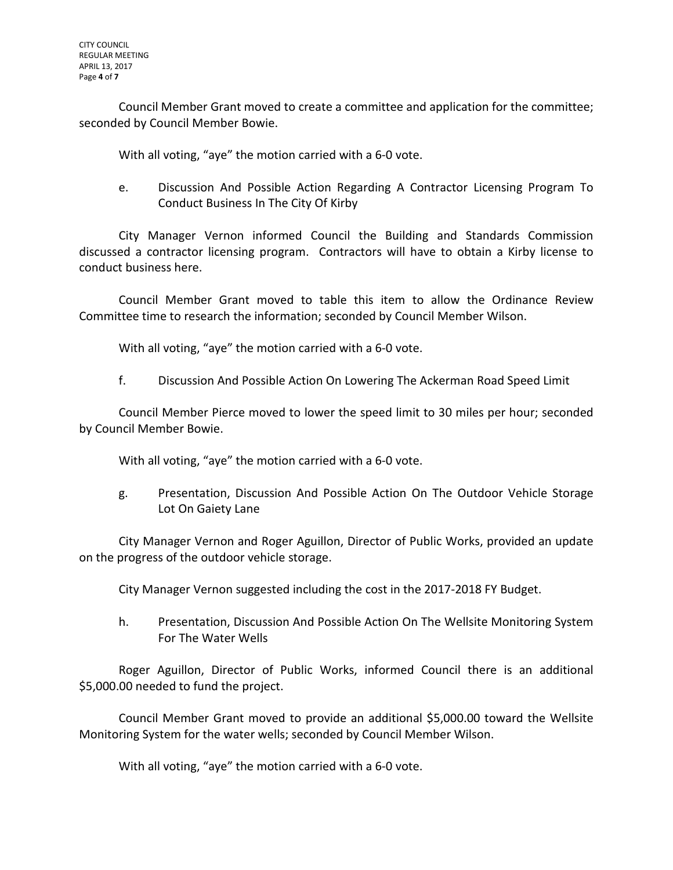Council Member Grant moved to create a committee and application for the committee; seconded by Council Member Bowie.

With all voting, "aye" the motion carried with a 6-0 vote.

e. Discussion And Possible Action Regarding A Contractor Licensing Program To Conduct Business In The City Of Kirby

City Manager Vernon informed Council the Building and Standards Commission discussed a contractor licensing program. Contractors will have to obtain a Kirby license to conduct business here.

Council Member Grant moved to table this item to allow the Ordinance Review Committee time to research the information; seconded by Council Member Wilson.

With all voting, "aye" the motion carried with a 6-0 vote.

f. Discussion And Possible Action On Lowering The Ackerman Road Speed Limit

Council Member Pierce moved to lower the speed limit to 30 miles per hour; seconded by Council Member Bowie.

With all voting, "aye" the motion carried with a 6-0 vote.

g. Presentation, Discussion And Possible Action On The Outdoor Vehicle Storage Lot On Gaiety Lane

City Manager Vernon and Roger Aguillon, Director of Public Works, provided an update on the progress of the outdoor vehicle storage.

City Manager Vernon suggested including the cost in the 2017-2018 FY Budget.

h. Presentation, Discussion And Possible Action On The Wellsite Monitoring System For The Water Wells

Roger Aguillon, Director of Public Works, informed Council there is an additional \$5,000.00 needed to fund the project.

Council Member Grant moved to provide an additional \$5,000.00 toward the Wellsite Monitoring System for the water wells; seconded by Council Member Wilson.

With all voting, "aye" the motion carried with a 6-0 vote.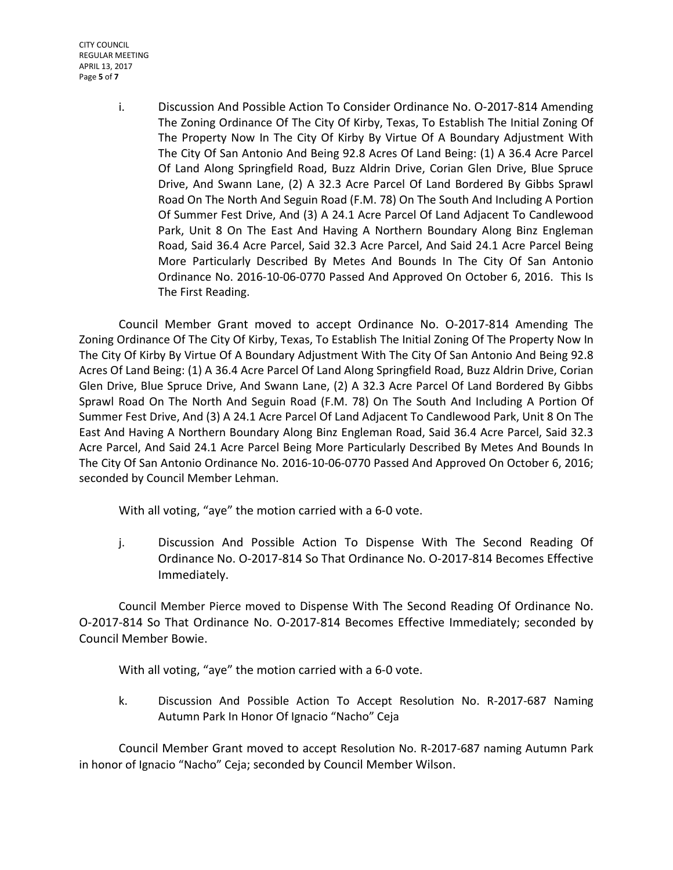CITY COUNCIL REGULAR MEETING APRIL 13, 2017 Page **5** of **7**

> i. Discussion And Possible Action To Consider Ordinance No. O-2017-814 Amending The Zoning Ordinance Of The City Of Kirby, Texas, To Establish The Initial Zoning Of The Property Now In The City Of Kirby By Virtue Of A Boundary Adjustment With The City Of San Antonio And Being 92.8 Acres Of Land Being: (1) A 36.4 Acre Parcel Of Land Along Springfield Road, Buzz Aldrin Drive, Corian Glen Drive, Blue Spruce Drive, And Swann Lane, (2) A 32.3 Acre Parcel Of Land Bordered By Gibbs Sprawl Road On The North And Seguin Road (F.M. 78) On The South And Including A Portion Of Summer Fest Drive, And (3) A 24.1 Acre Parcel Of Land Adjacent To Candlewood Park, Unit 8 On The East And Having A Northern Boundary Along Binz Engleman Road, Said 36.4 Acre Parcel, Said 32.3 Acre Parcel, And Said 24.1 Acre Parcel Being More Particularly Described By Metes And Bounds In The City Of San Antonio Ordinance No. 2016-10-06-0770 Passed And Approved On October 6, 2016. This Is The First Reading.

Council Member Grant moved to accept Ordinance No. O-2017-814 Amending The Zoning Ordinance Of The City Of Kirby, Texas, To Establish The Initial Zoning Of The Property Now In The City Of Kirby By Virtue Of A Boundary Adjustment With The City Of San Antonio And Being 92.8 Acres Of Land Being: (1) A 36.4 Acre Parcel Of Land Along Springfield Road, Buzz Aldrin Drive, Corian Glen Drive, Blue Spruce Drive, And Swann Lane, (2) A 32.3 Acre Parcel Of Land Bordered By Gibbs Sprawl Road On The North And Seguin Road (F.M. 78) On The South And Including A Portion Of Summer Fest Drive, And (3) A 24.1 Acre Parcel Of Land Adjacent To Candlewood Park, Unit 8 On The East And Having A Northern Boundary Along Binz Engleman Road, Said 36.4 Acre Parcel, Said 32.3 Acre Parcel, And Said 24.1 Acre Parcel Being More Particularly Described By Metes And Bounds In The City Of San Antonio Ordinance No. 2016-10-06-0770 Passed And Approved On October 6, 2016; seconded by Council Member Lehman.

With all voting, "aye" the motion carried with a 6-0 vote.

j. Discussion And Possible Action To Dispense With The Second Reading Of Ordinance No. O-2017-814 So That Ordinance No. O-2017-814 Becomes Effective Immediately.

Council Member Pierce moved to Dispense With The Second Reading Of Ordinance No. O-2017-814 So That Ordinance No. O-2017-814 Becomes Effective Immediately; seconded by Council Member Bowie.

With all voting, "aye" the motion carried with a 6-0 vote.

k. Discussion And Possible Action To Accept Resolution No. R-2017-687 Naming Autumn Park In Honor Of Ignacio "Nacho" Ceja

Council Member Grant moved to accept Resolution No. R-2017-687 naming Autumn Park in honor of Ignacio "Nacho" Ceja; seconded by Council Member Wilson.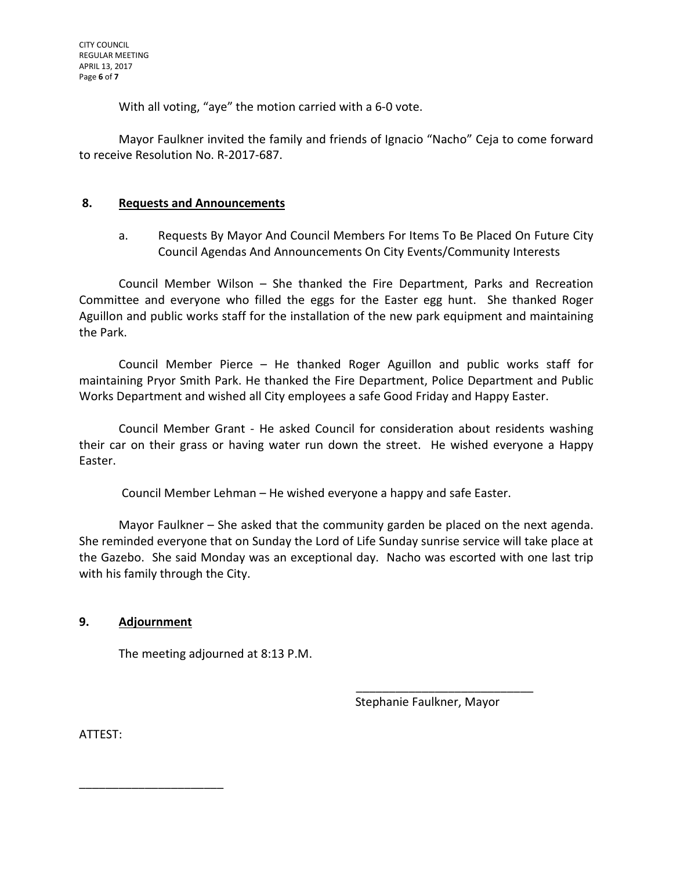With all voting, "aye" the motion carried with a 6-0 vote.

Mayor Faulkner invited the family and friends of Ignacio "Nacho" Ceja to come forward to receive Resolution No. R-2017-687.

### **8. Requests and Announcements**

a. Requests By Mayor And Council Members For Items To Be Placed On Future City Council Agendas And Announcements On City Events/Community Interests

Council Member Wilson – She thanked the Fire Department, Parks and Recreation Committee and everyone who filled the eggs for the Easter egg hunt. She thanked Roger Aguillon and public works staff for the installation of the new park equipment and maintaining the Park.

Council Member Pierce – He thanked Roger Aguillon and public works staff for maintaining Pryor Smith Park. He thanked the Fire Department, Police Department and Public Works Department and wished all City employees a safe Good Friday and Happy Easter.

Council Member Grant - He asked Council for consideration about residents washing their car on their grass or having water run down the street. He wished everyone a Happy Easter.

Council Member Lehman – He wished everyone a happy and safe Easter.

Mayor Faulkner – She asked that the community garden be placed on the next agenda. She reminded everyone that on Sunday the Lord of Life Sunday sunrise service will take place at the Gazebo. She said Monday was an exceptional day. Nacho was escorted with one last trip with his family through the City.

# **9. Adjournment**

\_\_\_\_\_\_\_\_\_\_\_\_\_\_\_\_\_\_\_\_\_\_

The meeting adjourned at 8:13 P.M.

Stephanie Faulkner, Mayor

\_\_\_\_\_\_\_\_\_\_\_\_\_\_\_\_\_\_\_\_\_\_\_\_\_\_\_

ATTEST: